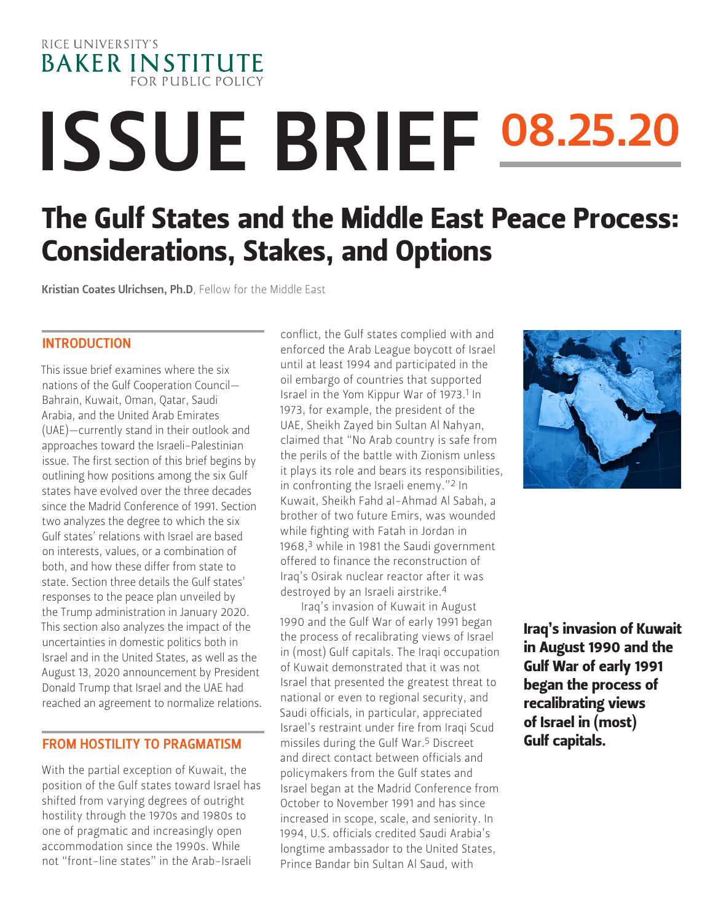RICE UNIVERSITY'S **BAKER INSTITUTE** FOR PUBLIC POLICY

# ISSUE BRIEF 08.25.20

# The Gulf States and the Middle East Peace Process: Considerations, Stakes, and Options

[Kristian Coates Ulrichsen, Ph.D](https://www.bakerinstitute.org/experts/kristian-coates-ulrichsen/), Fellow for the Middle East

#### INTRODUCTION

This issue brief examines where the six nations of the Gulf Cooperation Council— Bahrain, Kuwait, Oman, Qatar, Saudi Arabia, and the United Arab Emirates (UAE)—currently stand in their outlook and approaches toward the Israeli-Palestinian issue. The first section of this brief begins by outlining how positions among the six Gulf states have evolved over the three decades since the Madrid Conference of 1991. Section two analyzes the degree to which the six Gulf states' relations with Israel are based on interests, values, or a combination of both, and how these differ from state to state. Section three details the Gulf states' responses to the peace plan unveiled by the Trump administration in January 2020. This section also analyzes the impact of the uncertainties in domestic politics both in Israel and in the United States, as well as the August 13, 2020 announcement by President Donald Trump that Israel and the UAE had reached an agreement to normalize relations.

## FROM HOSTILITY TO PRAGMATISM

With the partial exception of Kuwait, the position of the Gulf states toward Israel has shifted from varying degrees of outright hostility through the 1970s and 1980s to one of pragmatic and increasingly open accommodation since the 1990s. While not "front-line states" in the Arab-Israeli

conflict, the Gulf states complied with and enforced the Arab League boycott of Israel until at least 1994 and participated in the oil embargo of countries that supported Israel in the Yom Kippur War of 1973.<sup>1</sup> In 1973, for example, the president of the UAE, Sheikh Zayed bin Sultan Al Nahyan, claimed that "No Arab country is safe from the perils of the battle with Zionism unless it plays its role and bears its responsibilities, in confronting the Israeli enemy."2 In Kuwait, Sheikh Fahd al-Ahmad Al Sabah, a brother of two future Emirs, was wounded while fighting with Fatah in Jordan in 1968,3 while in 1981 the Saudi government offered to finance the reconstruction of Iraq's Osirak nuclear reactor after it was destroyed by an Israeli airstrike.4

Iraq's invasion of Kuwait in August 1990 and the Gulf War of early 1991 began the process of recalibrating views of Israel in (most) Gulf capitals. The Iraqi occupation of Kuwait demonstrated that it was not Israel that presented the greatest threat to national or even to regional security, and Saudi officials, in particular, appreciated Israel's restraint under fire from Iraqi Scud missiles during the Gulf War.5 Discreet and direct contact between officials and policymakers from the Gulf states and Israel began at the Madrid Conference from October to November 1991 and has since increased in scope, scale, and seniority. In 1994, U.S. officials credited Saudi Arabia's longtime ambassador to the United States, Prince Bandar bin Sultan Al Saud, with



Iraq's invasion of Kuwait in August 1990 and the Gulf War of early 1991 began the process of recalibrating views of Israel in (most) Gulf capitals.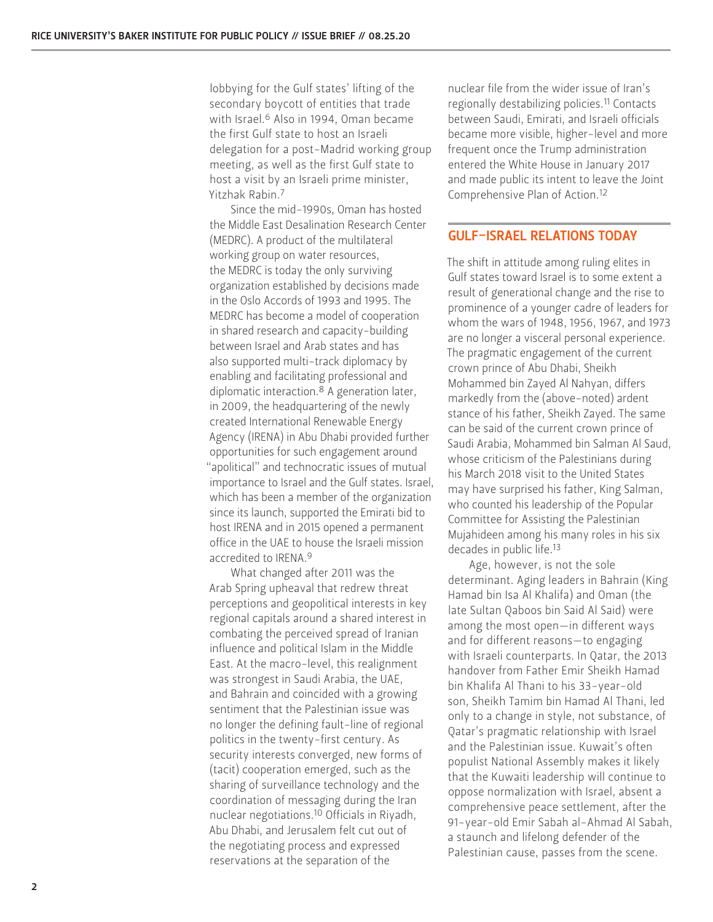lobbying for the Gulf states' lifting of the secondary boycott of entities that trade with Israel.6 Also in 1994, Oman became the first Gulf state to host an Israeli delegation for a post-Madrid working group meeting, as well as the first Gulf state to host a visit by an Israeli prime minister, Yitzhak Rabin.7

Since the mid-1990s, Oman has hosted the Middle East Desalination Research Center (MEDRC). A product of the multilateral working group on water resources, the MEDRC is today the only surviving organization established by decisions made in the Oslo Accords of 1993 and 1995. The MEDRC has become a model of cooperation in shared research and capacity-building between Israel and Arab states and has also supported multi-track diplomacy by enabling and facilitating professional and diplomatic interaction.8 A generation later, in 2009, the headquartering of the newly created International Renewable Energy Agency (IRENA) in Abu Dhabi provided further opportunities for such engagement around "apolitical" and technocratic issues of mutual importance to Israel and the Gulf states. Israel, which has been a member of the organization since its launch, supported the Emirati bid to host IRENA and in 2015 opened a permanent office in the UAE to house the Israeli mission accredited to IRENA.9

What changed after 2011 was the Arab Spring upheaval that redrew threat perceptions and geopolitical interests in key regional capitals around a shared interest in combating the perceived spread of Iranian influence and political Islam in the Middle East. At the macro-level, this realignment was strongest in Saudi Arabia, the UAE, and Bahrain and coincided with a growing sentiment that the Palestinian issue was no longer the defining fault-line of regional politics in the twenty-first century. As security interests converged, new forms of (tacit) cooperation emerged, such as the sharing of surveillance technology and the coordination of messaging during the Iran nuclear negotiations.10 Officials in Riyadh, Abu Dhabi, and Jerusalem felt cut out of the negotiating process and expressed reservations at the separation of the

nuclear file from the wider issue of Iran's regionally destabilizing policies.11 Contacts between Saudi, Emirati, and Israeli officials became more visible, higher-level and more frequent once the Trump administration entered the White House in January 2017 and made public its intent to leave the Joint Comprehensive Plan of Action.12

#### GULF-ISRAEL RELATIONS TODAY

The shift in attitude among ruling elites in Gulf states toward Israel is to some extent a result of generational change and the rise to prominence of a younger cadre of leaders for whom the wars of 1948, 1956, 1967, and 1973 are no longer a visceral personal experience. The pragmatic engagement of the current crown prince of Abu Dhabi, Sheikh Mohammed bin Zayed Al Nahyan, differs markedly from the (above-noted) ardent stance of his father, Sheikh Zayed. The same can be said of the current crown prince of Saudi Arabia, Mohammed bin Salman Al Saud, whose criticism of the Palestinians during his March 2018 visit to the United States may have surprised his father, King Salman, who counted his leadership of the Popular Committee for Assisting the Palestinian Mujahideen among his many roles in his six decades in public life.13

Age, however, is not the sole determinant. Aging leaders in Bahrain (King Hamad bin Isa Al Khalifa) and Oman (the late Sultan Qaboos bin Said Al Said) were among the most open—in different ways and for different reasons—to engaging with Israeli counterparts. In Qatar, the 2013 handover from Father Emir Sheikh Hamad bin Khalifa Al Thani to his 33-year-old son, Sheikh Tamim bin Hamad Al Thani, led only to a change in style, not substance, of Qatar's pragmatic relationship with Israel and the Palestinian issue. Kuwait's often populist National Assembly makes it likely that the Kuwaiti leadership will continue to oppose normalization with Israel, absent a comprehensive peace settlement, after the 91-year-old Emir Sabah al-Ahmad Al Sabah, a staunch and lifelong defender of the Palestinian cause, passes from the scene.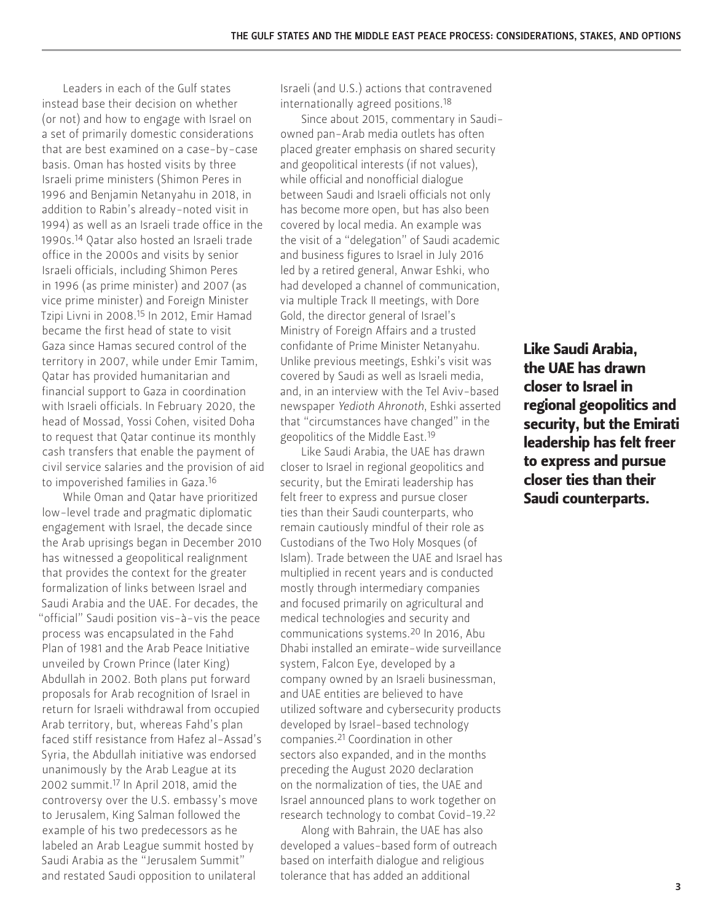Leaders in each of the Gulf states instead base their decision on whether (or not) and how to engage with Israel on a set of primarily domestic considerations that are best examined on a case-by-case basis. Oman has hosted visits by three Israeli prime ministers (Shimon Peres in 1996 and Benjamin Netanyahu in 2018, in addition to Rabin's already-noted visit in 1994) as well as an Israeli trade office in the 1990s.14 Qatar also hosted an Israeli trade office in the 2000s and visits by senior Israeli officials, including Shimon Peres in 1996 (as prime minister) and 2007 (as vice prime minister) and Foreign Minister Tzipi Livni in 2008.15 In 2012, Emir Hamad became the first head of state to visit Gaza since Hamas secured control of the territory in 2007, while under Emir Tamim, Qatar has provided humanitarian and financial support to Gaza in coordination with Israeli officials. In February 2020, the head of Mossad, Yossi Cohen, visited Doha to request that Qatar continue its monthly cash transfers that enable the payment of civil service salaries and the provision of aid to impoverished families in Gaza.16

While Oman and Qatar have prioritized low-level trade and pragmatic diplomatic engagement with Israel, the decade since the Arab uprisings began in December 2010 has witnessed a geopolitical realignment that provides the context for the greater formalization of links between Israel and Saudi Arabia and the UAE. For decades, the "official" Saudi position vis-à-vis the peace process was encapsulated in the Fahd Plan of 1981 and the Arab Peace Initiative unveiled by Crown Prince (later King) Abdullah in 2002. Both plans put forward proposals for Arab recognition of Israel in return for Israeli withdrawal from occupied Arab territory, but, whereas Fahd's plan faced stiff resistance from Hafez al-Assad's Syria, the Abdullah initiative was endorsed unanimously by the Arab League at its 2002 summit.17 In April 2018, amid the controversy over the U.S. embassy's move to Jerusalem, King Salman followed the example of his two predecessors as he labeled an Arab League summit hosted by Saudi Arabia as the "Jerusalem Summit" and restated Saudi opposition to unilateral

Israeli (and U.S.) actions that contravened internationally agreed positions.18

Since about 2015, commentary in Saudiowned pan-Arab media outlets has often placed greater emphasis on shared security and geopolitical interests (if not values), while official and nonofficial dialogue between Saudi and Israeli officials not only has become more open, but has also been covered by local media. An example was the visit of a "delegation" of Saudi academic and business figures to Israel in July 2016 led by a retired general, Anwar Eshki, who had developed a channel of communication, via multiple Track II meetings, with Dore Gold, the director general of Israel's Ministry of Foreign Affairs and a trusted confidante of Prime Minister Netanyahu. Unlike previous meetings, Eshki's visit was covered by Saudi as well as Israeli media, and, in an interview with the Tel Aviv-based newspaper *Yedioth Ahronoth*, Eshki asserted that "circumstances have changed" in the geopolitics of the Middle East.19

Like Saudi Arabia, the UAE has drawn closer to Israel in regional geopolitics and security, but the Emirati leadership has felt freer to express and pursue closer ties than their Saudi counterparts, who remain cautiously mindful of their role as Custodians of the Two Holy Mosques (of Islam). Trade between the UAE and Israel has multiplied in recent years and is conducted mostly through intermediary companies and focused primarily on agricultural and medical technologies and security and communications systems.20 In 2016, Abu Dhabi installed an emirate-wide surveillance system, Falcon Eye, developed by a company owned by an Israeli businessman, and UAE entities are believed to have utilized software and cybersecurity products developed by Israel-based technology companies.21 Coordination in other sectors also expanded, and in the months preceding the August 2020 declaration on the normalization of ties, the UAE and Israel announced plans to work together on research technology to combat Covid-19.22

Along with Bahrain, the UAE has also developed a values-based form of outreach based on interfaith dialogue and religious tolerance that has added an additional

Like Saudi Arabia, the UAE has drawn closer to Israel in regional geopolitics and security, but the Emirati leadership has felt freer to express and pursue closer ties than their Saudi counterparts.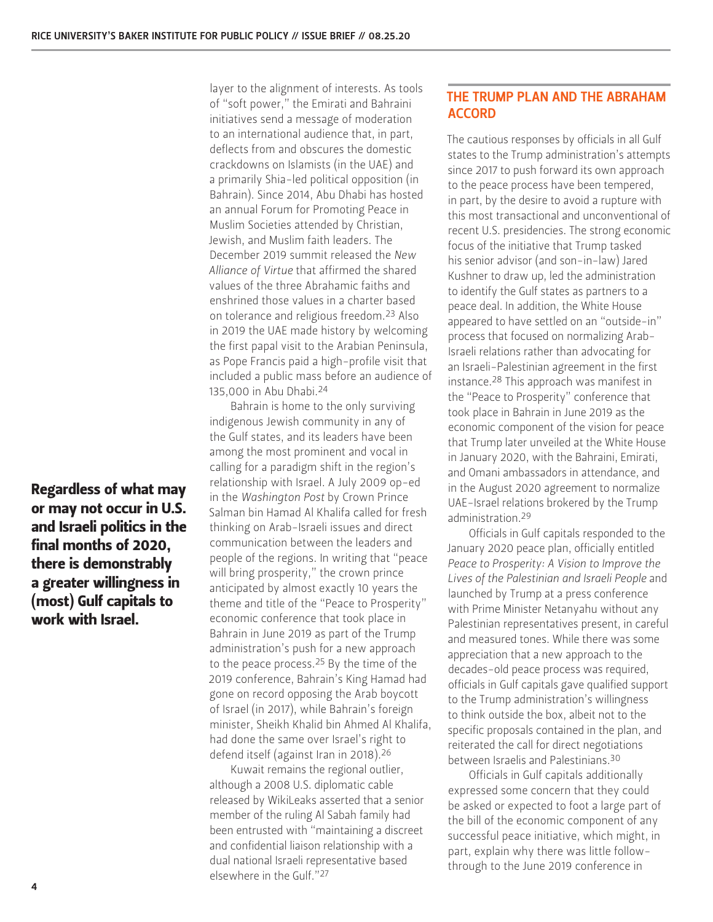Regardless of what may or may not occur in U.S. and Israeli politics in the final months of 2020, there is demonstrably a greater willingness in (most) Gulf capitals to work with Israel.

layer to the alignment of interests. As tools of "soft power," the Emirati and Bahraini initiatives send a message of moderation to an international audience that, in part, deflects from and obscures the domestic crackdowns on Islamists (in the UAE) and a primarily Shia-led political opposition (in Bahrain). Since 2014, Abu Dhabi has hosted an annual Forum for Promoting Peace in Muslim Societies attended by Christian, Jewish, and Muslim faith leaders. The December 2019 summit released the *New Alliance of Virtue* that affirmed the shared values of the three Abrahamic faiths and enshrined those values in a charter based on tolerance and religious freedom.23 Also in 2019 the UAE made history by welcoming the first papal visit to the Arabian Peninsula, as Pope Francis paid a high-profile visit that included a public mass before an audience of 135,000 in Abu Dhabi.24

Bahrain is home to the only surviving indigenous Jewish community in any of the Gulf states, and its leaders have been among the most prominent and vocal in calling for a paradigm shift in the region's relationship with Israel. A July 2009 op-ed in the *Washington Post* by Crown Prince Salman bin Hamad Al Khalifa called for fresh thinking on Arab-Israeli issues and direct communication between the leaders and people of the regions. In writing that "peace will bring prosperity," the crown prince anticipated by almost exactly 10 years the theme and title of the "Peace to Prosperity" economic conference that took place in Bahrain in June 2019 as part of the Trump administration's push for a new approach to the peace process.25 By the time of the 2019 conference, Bahrain's King Hamad had gone on record opposing the Arab boycott of Israel (in 2017), while Bahrain's foreign minister, Sheikh Khalid bin Ahmed Al Khalifa, had done the same over Israel's right to defend itself (against Iran in 2018).26

Kuwait remains the regional outlier, although a 2008 U.S. diplomatic cable released by WikiLeaks asserted that a senior member of the ruling Al Sabah family had been entrusted with "maintaining a discreet and confidential liaison relationship with a dual national Israeli representative based elsewhere in the Gulf."27

### THE TRUMP PLAN AND THE ABRAHAM ACCORD

The cautious responses by officials in all Gulf states to the Trump administration's attempts since 2017 to push forward its own approach to the peace process have been tempered, in part, by the desire to avoid a rupture with this most transactional and unconventional of recent U.S. presidencies. The strong economic focus of the initiative that Trump tasked his senior advisor (and son-in-law) Jared Kushner to draw up, led the administration to identify the Gulf states as partners to a peace deal. In addition, the White House appeared to have settled on an "outside-in" process that focused on normalizing Arab-Israeli relations rather than advocating for an Israeli-Palestinian agreement in the first instance.28 This approach was manifest in the "Peace to Prosperity" conference that took place in Bahrain in June 2019 as the economic component of the vision for peace that Trump later unveiled at the White House in January 2020, with the Bahraini, Emirati, and Omani ambassadors in attendance, and in the August 2020 agreement to normalize UAE-Israel relations brokered by the Trump administration.29

Officials in Gulf capitals responded to the January 2020 peace plan, officially entitled *Peace to Prosperity: A Vision to Improve the Lives of the Palestinian and Israeli People* and launched by Trump at a press conference with Prime Minister Netanyahu without any Palestinian representatives present, in careful and measured tones. While there was some appreciation that a new approach to the decades-old peace process was required, officials in Gulf capitals gave qualified support to the Trump administration's willingness to think outside the box, albeit not to the specific proposals contained in the plan, and reiterated the call for direct negotiations between Israelis and Palestinians.30

Officials in Gulf capitals additionally expressed some concern that they could be asked or expected to foot a large part of the bill of the economic component of any successful peace initiative, which might, in part, explain why there was little followthrough to the June 2019 conference in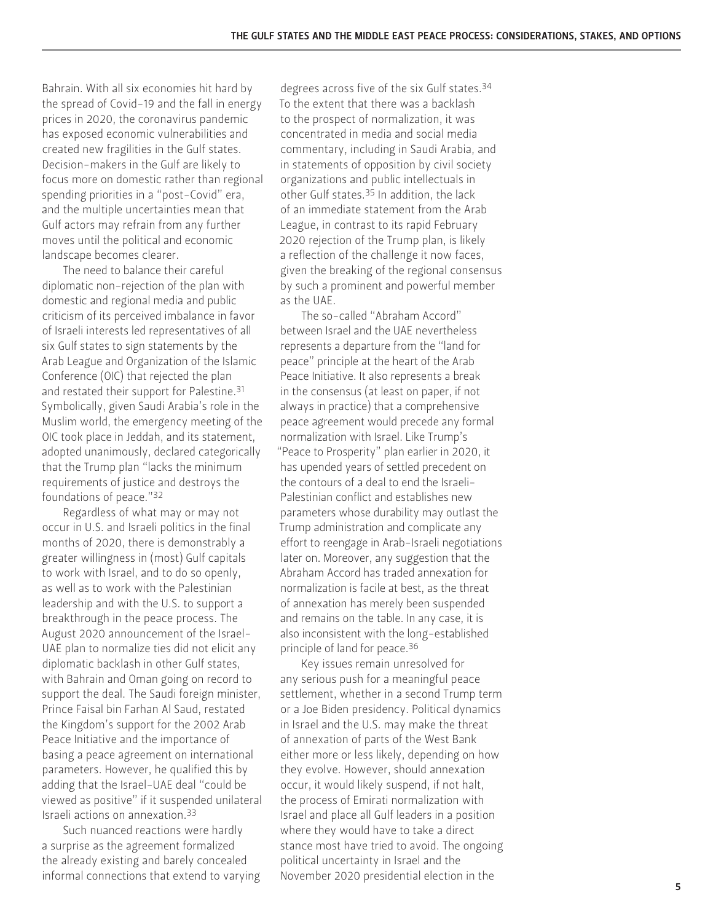Bahrain. With all six economies hit hard by the spread of Covid-19 and the fall in energy prices in 2020, the coronavirus pandemic has exposed economic vulnerabilities and created new fragilities in the Gulf states. Decision-makers in the Gulf are likely to focus more on domestic rather than regional spending priorities in a "post-Covid" era, and the multiple uncertainties mean that Gulf actors may refrain from any further moves until the political and economic landscape becomes clearer.

The need to balance their careful diplomatic non-rejection of the plan with domestic and regional media and public criticism of its perceived imbalance in favor of Israeli interests led representatives of all six Gulf states to sign statements by the Arab League and Organization of the Islamic Conference (OIC) that rejected the plan and restated their support for Palestine.31 Symbolically, given Saudi Arabia's role in the Muslim world, the emergency meeting of the OIC took place in Jeddah, and its statement, adopted unanimously, declared categorically that the Trump plan "lacks the minimum requirements of justice and destroys the foundations of peace."32

Regardless of what may or may not occur in U.S. and Israeli politics in the final months of 2020, there is demonstrably a greater willingness in (most) Gulf capitals to work with Israel, and to do so openly, as well as to work with the Palestinian leadership and with the U.S. to support a breakthrough in the peace process. The August 2020 announcement of the Israel-UAE plan to normalize ties did not elicit any diplomatic backlash in other Gulf states, with Bahrain and Oman going on record to support the deal. The Saudi foreign minister, Prince Faisal bin Farhan Al Saud, restated the Kingdom's support for the 2002 Arab Peace Initiative and the importance of basing a peace agreement on international parameters. However, he qualified this by adding that the Israel-UAE deal "could be viewed as positive" if it suspended unilateral Israeli actions on annexation.33

Such nuanced reactions were hardly a surprise as the agreement formalized the already existing and barely concealed informal connections that extend to varying

degrees across five of the six Gulf states.<sup>34</sup> To the extent that there was a backlash to the prospect of normalization, it was concentrated in media and social media commentary, including in Saudi Arabia, and in statements of opposition by civil society organizations and public intellectuals in other Gulf states.35 In addition, the lack of an immediate statement from the Arab League, in contrast to its rapid February 2020 rejection of the Trump plan, is likely a reflection of the challenge it now faces, given the breaking of the regional consensus by such a prominent and powerful member as the UAE.

The so-called "Abraham Accord" between Israel and the UAE nevertheless represents a departure from the "land for peace" principle at the heart of the Arab Peace Initiative. It also represents a break in the consensus (at least on paper, if not always in practice) that a comprehensive peace agreement would precede any formal normalization with Israel. Like Trump's "Peace to Prosperity" plan earlier in 2020, it has upended years of settled precedent on the contours of a deal to end the Israeli-Palestinian conflict and establishes new parameters whose durability may outlast the Trump administration and complicate any effort to reengage in Arab-Israeli negotiations later on. Moreover, any suggestion that the Abraham Accord has traded annexation for normalization is facile at best, as the threat of annexation has merely been suspended and remains on the table. In any case, it is also inconsistent with the long-established principle of land for peace.36

Key issues remain unresolved for any serious push for a meaningful peace settlement, whether in a second Trump term or a Joe Biden presidency. Political dynamics in Israel and the U.S. may make the threat of annexation of parts of the West Bank either more or less likely, depending on how they evolve. However, should annexation occur, it would likely suspend, if not halt, the process of Emirati normalization with Israel and place all Gulf leaders in a position where they would have to take a direct stance most have tried to avoid. The ongoing political uncertainty in Israel and the November 2020 presidential election in the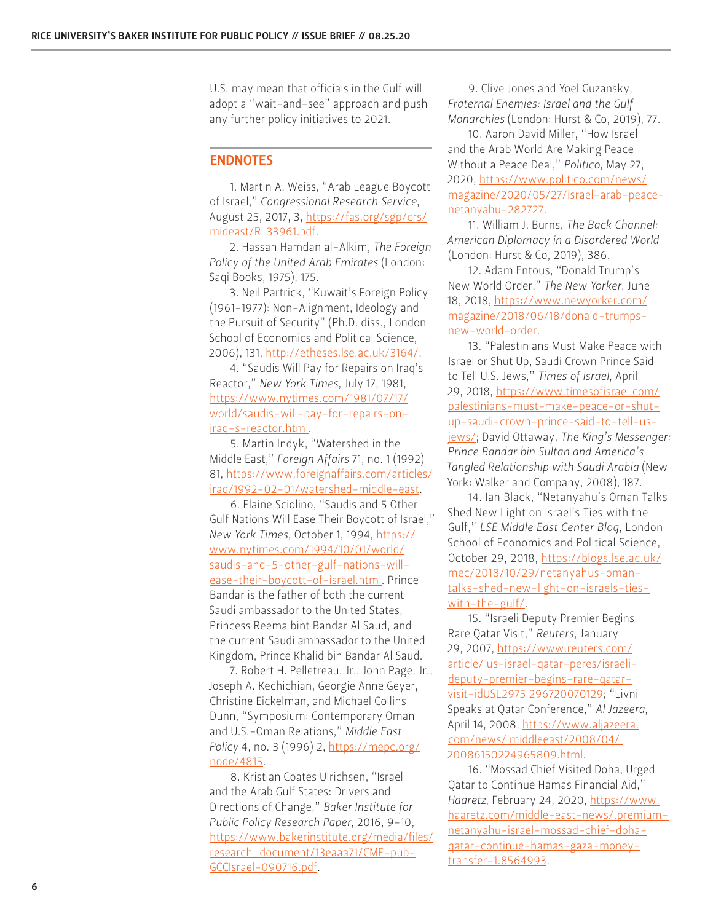U.S. may mean that officials in the Gulf will adopt a "wait-and-see" approach and push any further policy initiatives to 2021.

#### ENDNOTES

1. Martin A. Weiss, "Arab League Boycott of Israel," *Congressional Research Service*, August 25, 2017, 3, [https://fas.org/sgp/crs/](https://fas.org/sgp/crs/mideast/RL33961.pdf) [mideast/RL33961.pdf](https://fas.org/sgp/crs/mideast/RL33961.pdf).

2. Hassan Hamdan al-Alkim, *The Foreign Policy of the United Arab Emirates* (London: Saqi Books, 1975), 175.

3. Neil Partrick, "Kuwait's Foreign Policy (1961-1977): Non-Alignment, Ideology and the Pursuit of Security" (Ph.D. diss., London School of Economics and Political Science, 2006), 131, [http://etheses.lse.ac.uk/3164/.](http://etheses.lse.ac.uk/3164/)

4. "Saudis Will Pay for Repairs on Iraq's Reactor," *New York Times*, July 17, 1981, [https://www.nytimes.com/1981/07/17/](https://www.nytimes.com/1981/07/17/world/saudis-will-pay-for-repairs-on-iraq-s-reactor.html) [world/saudis-will-pay-for-repairs-on](https://www.nytimes.com/1981/07/17/world/saudis-will-pay-for-repairs-on-iraq-s-reactor.html)[iraq-s-reactor.html.](https://www.nytimes.com/1981/07/17/world/saudis-will-pay-for-repairs-on-iraq-s-reactor.html)

5. Martin Indyk, "Watershed in the Middle East," *Foreign Affairs* 71, no. 1 (1992) 81, [https://www.foreignaffairs.com/articles/](https://www.foreignaffairs.com/articles/iraq/1992-02-01/watershed-middle-east) [iraq/1992-02-01/watershed-middle-east](https://www.foreignaffairs.com/articles/iraq/1992-02-01/watershed-middle-east).

6. Elaine Sciolino, "Saudis and 5 Other Gulf Nations Will Ease Their Boycott of Israel," *New York Times*, October 1, 1994, [https://](https://www.nytimes.com/1994/10/01/world/saudis-and-5-other-gulf-nations-will-ease-their-boycott-of-israel.html) [www.nytimes.com/1994/10/01/world/](https://www.nytimes.com/1994/10/01/world/saudis-and-5-other-gulf-nations-will-ease-their-boycott-of-israel.html) [saudis-and-5-other-gulf-nations-will](https://www.nytimes.com/1994/10/01/world/saudis-and-5-other-gulf-nations-will-ease-their-boycott-of-israel.html)[ease-their-boycott-of-israel.html.](https://www.nytimes.com/1994/10/01/world/saudis-and-5-other-gulf-nations-will-ease-their-boycott-of-israel.html) Prince Bandar is the father of both the current Saudi ambassador to the United States, Princess Reema bint Bandar Al Saud, and the current Saudi ambassador to the United Kingdom, Prince Khalid bin Bandar Al Saud.

7. Robert H. Pelletreau, Jr., John Page, Jr., Joseph A. Kechichian, Georgie Anne Geyer, Christine Eickelman, and Michael Collins Dunn, "Symposium: Contemporary Oman and U.S.-Oman Relations," *Middle East Policy* 4, no. 3 (1996) 2, [https://mepc.org/](https://mepc.org/node/4815) [node/4815.](https://mepc.org/node/4815)

8. Kristian Coates Ulrichsen, "Israel and the Arab Gulf States: Drivers and Directions of Change," *Baker Institute for Public Policy Research Paper*, 2016, 9-10, [https://www.bakerinstitute.org/media/files/](https://www.bakerinstitute.org/media/files/research_document/13eaaa71/CME-pub-GCCIsrael-090716.pdf) [research\\_document/13eaaa71/CME-pub-](https://www.bakerinstitute.org/media/files/research_document/13eaaa71/CME-pub-GCCIsrael-090716.pdf)[GCCIsrael-090716.pdf.](https://www.bakerinstitute.org/media/files/research_document/13eaaa71/CME-pub-GCCIsrael-090716.pdf)

9. Clive Jones and Yoel Guzansky, *Fraternal Enemies: Israel and the Gulf Monarchies* (London: Hurst & Co, 2019), 77.

10. Aaron David Miller, "How Israel and the Arab World Are Making Peace Without a Peace Deal," *Politico*, May 27, 2020, [https://www.politico.com/news/](https://www.politico.com/news/magazine/2020/05/27/israel-arab-peace-netanyahu-282727) [magazine/2020/05/27/israel-arab-peace](https://www.politico.com/news/magazine/2020/05/27/israel-arab-peace-netanyahu-282727)[netanyahu-282727.](https://www.politico.com/news/magazine/2020/05/27/israel-arab-peace-netanyahu-282727)

11. William J. Burns, *The Back Channel: American Diplomacy in a Disordered World* (London: Hurst & Co, 2019), 386.

12. Adam Entous, "Donald Trump's New World Order," *The New Yorker*, June 18, 2018, [https://www.newyorker.com/](https://www.newyorker.com/magazine/2018/06/18/donald-trumps-new-world-order) [magazine/2018/06/18/donald-trumps](https://www.newyorker.com/magazine/2018/06/18/donald-trumps-new-world-order)[new-world-order](https://www.newyorker.com/magazine/2018/06/18/donald-trumps-new-world-order).

13. "Palestinians Must Make Peace with Israel or Shut Up, Saudi Crown Prince Said to Tell U.S. Jews," *Times of Israel*, April 29, 2018, [https://www.timesofisrael.com/](https://www.timesofisrael.com/palestinians-must-make-peace-or-shut-up-saudi-crown-prince-said-to-tel) [palestinians-must-make-peace-or-shut](https://www.timesofisrael.com/palestinians-must-make-peace-or-shut-up-saudi-crown-prince-said-to-tel)[up-saudi-crown-prince-said-to-tell-us](https://www.timesofisrael.com/palestinians-must-make-peace-or-shut-up-saudi-crown-prince-said-to-tel)[jews/;](https://www.timesofisrael.com/palestinians-must-make-peace-or-shut-up-saudi-crown-prince-said-to-tel) David Ottaway, *The King's Messenger: Prince Bandar bin Sultan and America's Tangled Relationship with Saudi Arabia* (New York: Walker and Company, 2008), 187.

14. Ian Black, "Netanyahu's Oman Talks Shed New Light on Israel's Ties with the Gulf," *LSE Middle East Center Blog*, London School of Economics and Political Science, October 29, 2018, [https://blogs.lse.ac.uk/](https://blogs.lse.ac.uk/mec/2018/10/29/netanyahus-oman-talks-shed-new-light-on-israels-ties-with-the) [mec/2018/10/29/netanyahus-oman](https://blogs.lse.ac.uk/mec/2018/10/29/netanyahus-oman-talks-shed-new-light-on-israels-ties-with-the)[talks-shed-new-light-on-israels-ties](https://blogs.lse.ac.uk/mec/2018/10/29/netanyahus-oman-talks-shed-new-light-on-israels-ties-with-the)[with-the-gulf/.](https://blogs.lse.ac.uk/mec/2018/10/29/netanyahus-oman-talks-shed-new-light-on-israels-ties-with-the)

15. "Israeli Deputy Premier Begins Rare Qatar Visit," *Reuters*, January 29, 2007, [https://www.reuters.com/](https://www.reuters.com/article/us-israel-qatar-peres/israeli-deputy-premier-begins-rare-qatar-visit-idUSL2975296720070129) [article/ us-israel-qatar-peres/israeli](https://www.reuters.com/article/us-israel-qatar-peres/israeli-deputy-premier-begins-rare-qatar-visit-idUSL2975296720070129)[deputy-premier-begins-rare-qatar](https://www.reuters.com/article/us-israel-qatar-peres/israeli-deputy-premier-begins-rare-qatar-visit-idUSL2975296720070129)[visit-idUSL2975 296720070129](https://www.reuters.com/article/us-israel-qatar-peres/israeli-deputy-premier-begins-rare-qatar-visit-idUSL2975296720070129); "Livni Speaks at Qatar Conference," *Al Jazeera*, April 14, 2008, [https://www.aljazeera.](https://www.aljazeera.com/news/middleeast/2008/04/20086150224965809.html) [com/news/ middleeast/2008/04/](https://www.aljazeera.com/news/middleeast/2008/04/20086150224965809.html)  [20086150224965809.html.](https://www.aljazeera.com/news/middleeast/2008/04/20086150224965809.html)

16. "Mossad Chief Visited Doha, Urged Qatar to Continue Hamas Financial Aid," *Haaretz*, February 24, 2020, [https://www.](https://www.haaretz.com/middle-east-news/.premium-netanyahu-israel-mossad-chief-doha-qatar-continue-hamas-gaza-money-transfer-1.8564993) [haaretz.com/middle-east-news/.premium](https://www.haaretz.com/middle-east-news/.premium-netanyahu-israel-mossad-chief-doha-qatar-continue-hamas-gaza-money-transfer-1.8564993)[netanyahu-israel-mossad-chief-doha](https://www.haaretz.com/middle-east-news/.premium-netanyahu-israel-mossad-chief-doha-qatar-continue-hamas-gaza-money-transfer-1.8564993)[qatar-continue-hamas-gaza-money](https://www.haaretz.com/middle-east-news/.premium-netanyahu-israel-mossad-chief-doha-qatar-continue-hamas-gaza-money-transfer-1.8564993)[transfer-1.8564993](https://www.haaretz.com/middle-east-news/.premium-netanyahu-israel-mossad-chief-doha-qatar-continue-hamas-gaza-money-transfer-1.8564993).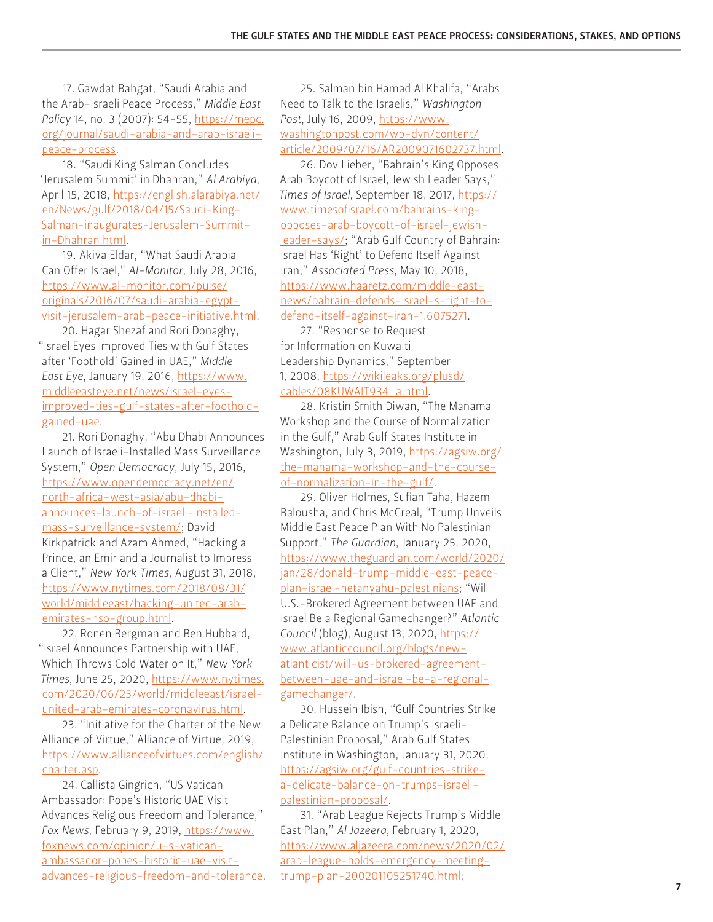17. Gawdat Bahgat, "Saudi Arabia and the Arab-Israeli Peace Process," *Middle East Policy* 14, no. 3 (2007): 54-55, [https://mepc.](https://mepc.org/journal/saudi-arabia-and-arab-israeli-peace-process) [org/journal/saudi-arabia-and-arab-israeli](https://mepc.org/journal/saudi-arabia-and-arab-israeli-peace-process)[peace-process](https://mepc.org/journal/saudi-arabia-and-arab-israeli-peace-process).

18. "Saudi King Salman Concludes 'Jerusalem Summit' in Dhahran," *Al Arabiya*, April 15, 2018, [https://english.alarabiya.net/](https://english.alarabiya.net/en/News/gulf/2018/04/15/Saudi-King-Salman-inaugurates-Jerusalem-Summit-in-Dhahran.html) [en/News/gulf/2018/04/15/Saudi-King-](https://english.alarabiya.net/en/News/gulf/2018/04/15/Saudi-King-Salman-inaugurates-Jerusalem-Summit-in-Dhahran.html)[Salman-inaugurates-Jerusalem-Summit](https://english.alarabiya.net/en/News/gulf/2018/04/15/Saudi-King-Salman-inaugurates-Jerusalem-Summit-in-Dhahran.html)[in-Dhahran.html.](https://english.alarabiya.net/en/News/gulf/2018/04/15/Saudi-King-Salman-inaugurates-Jerusalem-Summit-in-Dhahran.html)

19. Akiva Eldar, "What Saudi Arabia Can Offer Israel," *Al-Monitor*, July 28, 2016, [https://www.al-monitor.com/pulse/](https://www.al-monitor.com/pulse/originals/2016/07/saudi-arabia-egypt-visit-jerusalem-arab-peace-initiative.html) [originals/2016/07/saudi-arabia-egypt](https://www.al-monitor.com/pulse/originals/2016/07/saudi-arabia-egypt-visit-jerusalem-arab-peace-initiative.html)[visit-jerusalem-arab-peace-initiative.html](https://www.al-monitor.com/pulse/originals/2016/07/saudi-arabia-egypt-visit-jerusalem-arab-peace-initiative.html).

20. Hagar Shezaf and Rori Donaghy, "Israel Eyes Improved Ties with Gulf States after 'Foothold' Gained in UAE," *Middle East Eye*, January 19, 2016, [https://www.](https://www.middleeasteye.net/news/israel-eyes-improved-ties-gulf-states-after-foothold-gained-uae) [middleeasteye.net/news/israel-eyes](https://www.middleeasteye.net/news/israel-eyes-improved-ties-gulf-states-after-foothold-gained-uae)[improved-ties-gulf-states-after-foothold](https://www.middleeasteye.net/news/israel-eyes-improved-ties-gulf-states-after-foothold-gained-uae)[gained-uae](https://www.middleeasteye.net/news/israel-eyes-improved-ties-gulf-states-after-foothold-gained-uae).

21. Rori Donaghy, "Abu Dhabi Announces Launch of Israeli-Installed Mass Surveillance System," *Open Democracy*, July 15, 2016, [https://www.opendemocracy.net/en/](https://www.opendemocracy.net/en/north-africa-west-asia/abu-dhabi-announces-launch-of-israeli-installed-mass-surveillance-system/) [north-africa-west-asia/abu-dhabi](https://www.opendemocracy.net/en/north-africa-west-asia/abu-dhabi-announces-launch-of-israeli-installed-mass-surveillance-system/)[announces-launch-of-israeli-installed](https://www.opendemocracy.net/en/north-africa-west-asia/abu-dhabi-announces-launch-of-israeli-installed-mass-surveillance-system/)[mass-surveillance-system/;](https://www.opendemocracy.net/en/north-africa-west-asia/abu-dhabi-announces-launch-of-israeli-installed-mass-surveillance-system/) David Kirkpatrick and Azam Ahmed, "Hacking a Prince, an Emir and a Journalist to Impress a Client," *New York Times*, August 31, 2018, [https://www.nytimes.com/2018/08/31/](https://www.nytimes.com/2018/08/31/world/middleeast/hacking-united-arab-emirates-nso-group.html) [world/middleeast/hacking-united-arab](https://www.nytimes.com/2018/08/31/world/middleeast/hacking-united-arab-emirates-nso-group.html)[emirates-nso-group.html.](https://www.nytimes.com/2018/08/31/world/middleeast/hacking-united-arab-emirates-nso-group.html)

22. Ronen Bergman and Ben Hubbard, "Israel Announces Partnership with UAE, Which Throws Cold Water on It," *New York Times*, June 25, 2020, [https://www.nytimes.](https://www.nytimes.com/2020/06/25/world/middleeast/israel-united-arab-emirates-coronavirus.html) [com/2020/06/25/world/middleeast/israel](https://www.nytimes.com/2020/06/25/world/middleeast/israel-united-arab-emirates-coronavirus.html)[united-arab-emirates-coronavirus.html.](https://www.nytimes.com/2020/06/25/world/middleeast/israel-united-arab-emirates-coronavirus.html)

23. "Initiative for the Charter of the New Alliance of Virtue," Alliance of Virtue, 2019, [https://www.allianceofvirtues.com/english/](https://www.allianceofvirtues.com/english/charter.asp) [charter.asp](https://www.allianceofvirtues.com/english/charter.asp).

24. Callista Gingrich, "US Vatican Ambassador: Pope's Historic UAE Visit Advances Religious Freedom and Tolerance," *Fox News*, February 9, 2019, [https://www.](https://www.foxnews.com/opinion/u-s-vatican-ambassador-popes-historic-uae-visit-advances-religious-freedom-and-tolerance) [foxnews.com/opinion/u-s-vatican](https://www.foxnews.com/opinion/u-s-vatican-ambassador-popes-historic-uae-visit-advances-religious-freedom-and-tolerance)[ambassador-popes-historic-uae-visit](https://www.foxnews.com/opinion/u-s-vatican-ambassador-popes-historic-uae-visit-advances-religious-freedom-and-tolerance)[advances-religious-freedom-and-tolerance.](https://www.foxnews.com/opinion/u-s-vatican-ambassador-popes-historic-uae-visit-advances-religious-freedom-and-tolerance)

25. Salman bin Hamad Al Khalifa, "Arabs Need to Talk to the Israelis," *Washington Post*, July 16, 2009, [https://www.](https://www.washingtonpost.com/wp-dyn/content/article/2009/07/16/AR2009071602737.html) [washingtonpost.com/wp-dyn/content/](https://www.washingtonpost.com/wp-dyn/content/article/2009/07/16/AR2009071602737.html) [article/2009/07/16/AR2009071602737.html](https://www.washingtonpost.com/wp-dyn/content/article/2009/07/16/AR2009071602737.html).

26. Dov Lieber, "Bahrain's King Opposes Arab Boycott of Israel, Jewish Leader Says," *Times of Israel*, September 18, 2017, [https://](https://www.timesofisrael.com/bahrains-king-opposes-arab-boycott-of-israel-jewish-leader-says/) [www.timesofisrael.com/bahrains-king](https://www.timesofisrael.com/bahrains-king-opposes-arab-boycott-of-israel-jewish-leader-says/)[opposes-arab-boycott-of-israel-jewish](https://www.timesofisrael.com/bahrains-king-opposes-arab-boycott-of-israel-jewish-leader-says/)[leader-says/](https://www.timesofisrael.com/bahrains-king-opposes-arab-boycott-of-israel-jewish-leader-says/); "Arab Gulf Country of Bahrain: Israel Has 'Right' to Defend Itself Against Iran," *Associated Press*, May 10, 2018, [https://www.haaretz.com/middle-east](https://www.haaretz.com/middle-east-news/bahrain-defends-israel-s-right-to-defend-itself-against-iran-1.6075271)[news/bahrain-defends-israel-s-right-to](https://www.haaretz.com/middle-east-news/bahrain-defends-israel-s-right-to-defend-itself-against-iran-1.6075271)[defend-itself-against-iran-1.6075271](https://www.haaretz.com/middle-east-news/bahrain-defends-israel-s-right-to-defend-itself-against-iran-1.6075271).

27. "Response to Request for Information on Kuwaiti Leadership Dynamics," September 1, 2008, [https://wikileaks.org/plusd/](https://wikileaks.org/plusd/cables/08KUWAIT934_a.html) [cables/08KUWAIT934\\_a.html](https://wikileaks.org/plusd/cables/08KUWAIT934_a.html).

28. Kristin Smith Diwan, "The Manama Workshop and the Course of Normalization in the Gulf," Arab Gulf States Institute in Washington, July 3, 2019, [https://agsiw.org/](https://agsiw.org/the-manama-workshop-and-the-course-of-normalization-in-the-gulf/) [the-manama-workshop-and-the-course](https://agsiw.org/the-manama-workshop-and-the-course-of-normalization-in-the-gulf/)[of-normalization-in-the-gulf/](https://agsiw.org/the-manama-workshop-and-the-course-of-normalization-in-the-gulf/).

29. Oliver Holmes, Sufian Taha, Hazem Balousha, and Chris McGreal, "Trump Unveils Middle East Peace Plan With No Palestinian Support," *The Guardian*, January 25, 2020, [https://www.theguardian.com/world/2020/](https://www.theguardian.com/world/2020/jan/28/donald-trump-middle-east-peace-plan-israel-netanyahu-palestinians) [jan/28/donald-trump-middle-east-peace](https://www.theguardian.com/world/2020/jan/28/donald-trump-middle-east-peace-plan-israel-netanyahu-palestinians)[plan-israel-netanyahu-palestinians](https://www.theguardian.com/world/2020/jan/28/donald-trump-middle-east-peace-plan-israel-netanyahu-palestinians); "Will U.S.-Brokered Agreement between UAE and Israel Be a Regional Gamechanger?" *Atlantic Council* (blog), August 13, 2020, [https://](https://www.atlanticcouncil.org/blogs/new-atlanticist/will-us-brokered-agreement-between-uae-and-isr) [www.atlanticcouncil.org/blogs/new](https://www.atlanticcouncil.org/blogs/new-atlanticist/will-us-brokered-agreement-between-uae-and-isr)[atlanticist/will-us-brokered-agreement](https://www.atlanticcouncil.org/blogs/new-atlanticist/will-us-brokered-agreement-between-uae-and-isr)[between-uae-and-israel-be-a-regional](https://www.atlanticcouncil.org/blogs/new-atlanticist/will-us-brokered-agreement-between-uae-and-isr)[gamechanger/.](https://www.atlanticcouncil.org/blogs/new-atlanticist/will-us-brokered-agreement-between-uae-and-isr)

30. Hussein Ibish, "Gulf Countries Strike a Delicate Balance on Trump's Israeli-Palestinian Proposal," Arab Gulf States Institute in Washington, January 31, 2020, [https://agsiw.org/gulf-countries-strike](https://agsiw.org/gulf-countries-strike-a-delicate-balance-on-trumps-israeli-palestinian-proposal/)[a-delicate-balance-on-trumps-israeli](https://agsiw.org/gulf-countries-strike-a-delicate-balance-on-trumps-israeli-palestinian-proposal/)[palestinian-proposal/](https://agsiw.org/gulf-countries-strike-a-delicate-balance-on-trumps-israeli-palestinian-proposal/).

31. "Arab League Rejects Trump's Middle East Plan," *Al Jazeera*, February 1, 2020, [https://www.aljazeera.com/news/2020/02/](https://www.aljazeera.com/news/2020/02/arab-league-holds-emergency-meeting-trump-plan-200201105251740.html) [arab-league-holds-emergency-meeting](https://www.aljazeera.com/news/2020/02/arab-league-holds-emergency-meeting-trump-plan-200201105251740.html)[trump-plan-200201105251740.html;](https://www.aljazeera.com/news/2020/02/arab-league-holds-emergency-meeting-trump-plan-200201105251740.html)